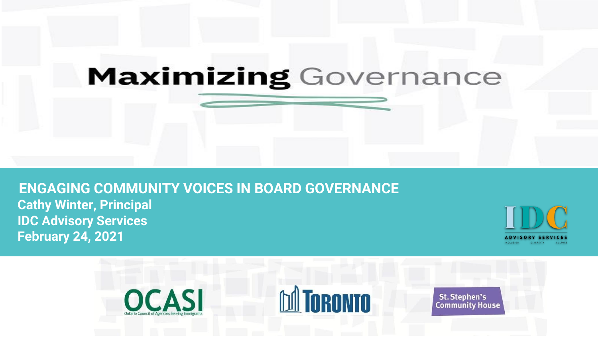

**ENGAGING COMMUNITY VOICES IN BOARD GOVERNANCE Cathy Winter, Principal IDC Advisory Services February 24, 2021**



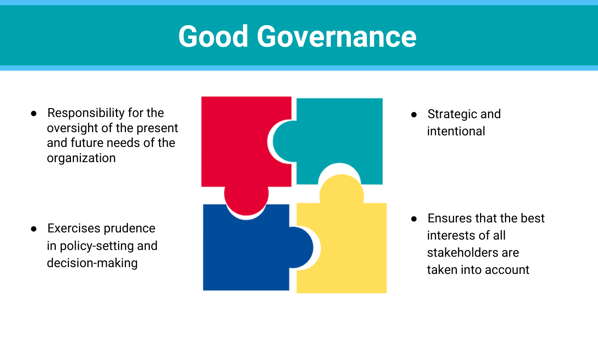### **Good Governance**

● Responsibility for the oversight of the present and future needs of the organization

● Exercises prudence in policy-setting and decision-making



● Strategic and intentional

● Ensures that the best interests of all stakeholders are taken into account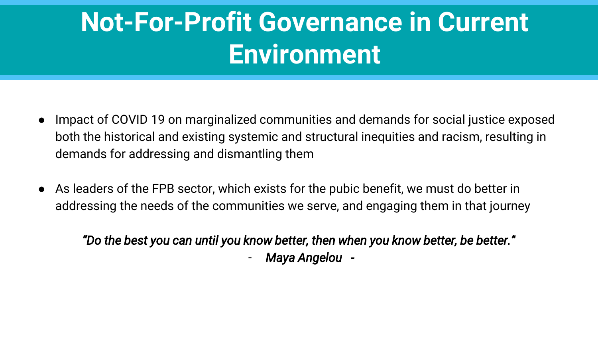### **Not-For-Profit Governance in Current Environment**

- Impact of COVID 19 on marginalized communities and demands for social justice exposed both the historical and existing systemic and structural inequities and racism, resulting in demands for addressing and dismantling them
- As leaders of the FPB sector, which exists for the pubic benefit, we must do better in addressing the needs of the communities we serve, and engaging them in that journey

*"Do the best you can until you know better, then when you know better, be better."* - *Maya Angelou -*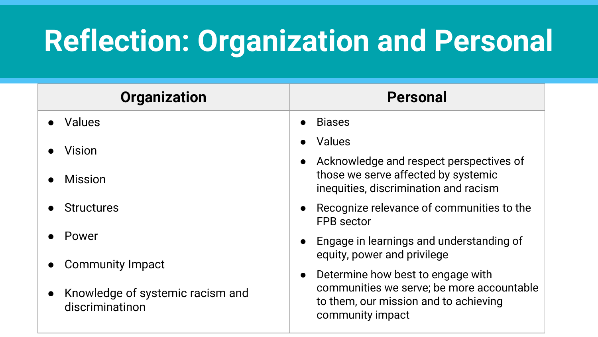## **Reflection: Organization and Personal**

| <b>Organization</b>                                   | <b>Personal</b>                                                                                                         |
|-------------------------------------------------------|-------------------------------------------------------------------------------------------------------------------------|
| Values                                                | <b>Biases</b>                                                                                                           |
| Vision                                                | Values                                                                                                                  |
| <b>Mission</b>                                        | Acknowledge and respect perspectives of<br>those we serve affected by systemic<br>inequities, discrimination and racism |
| <b>Structures</b>                                     | Recognize relevance of communities to the<br><b>FPB</b> sector                                                          |
| Power                                                 | Engage in learnings and understanding of<br>equity, power and privilege                                                 |
| <b>Community Impact</b>                               | Determine how best to engage with<br>$\bullet$                                                                          |
| • Knowledge of systemic racism and<br>discriminatinon | communities we serve; be more accountable<br>to them, our mission and to achieving<br>community impact                  |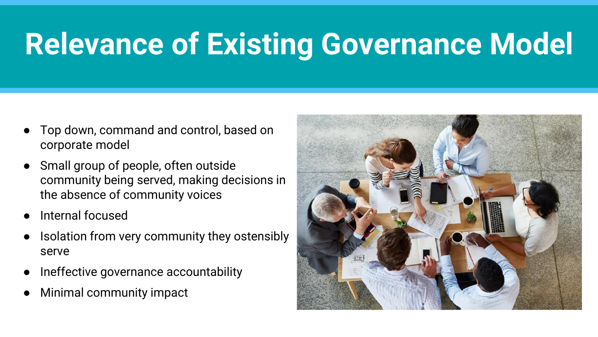## **Relevance of Existing Governance Model**

- Top down, command and control, based on corporate model
- Small group of people, often outside community being served, making decisions in the absence of community voices
- Internal focused
- Isolation from very community they ostensibly serve
- Ineffective governance accountability
- **Minimal community impact**

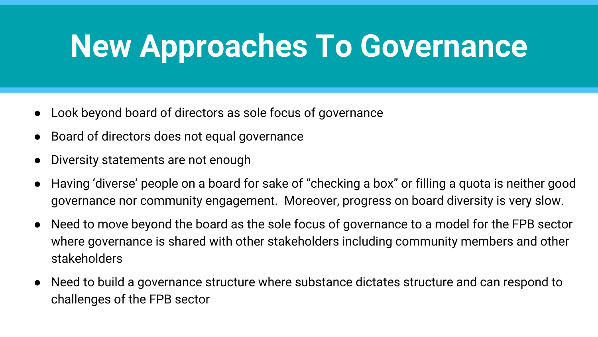## **New Approaches To Governance**

- Look beyond board of directors as sole focus of governance
- Board of directors does not equal governance
- Diversity statements are not enough
- Having 'diverse' people on a board for sake of "checking a box" or filling a quota is neither good governance nor community engagement. Moreover, progress on board diversity is very slow.
- Need to move beyond the board as the sole focus of governance to a model for the FPB sector where governance is shared with other stakeholders including community members and other stakeholders
- Need to build a governance structure where substance dictates structure and can respond to challenges of the FPB sector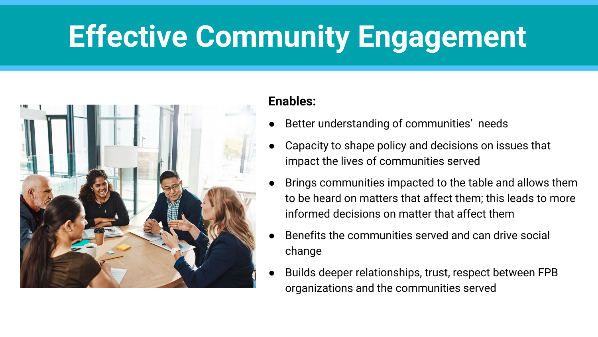## **Effective Community Engagement**



#### **Enables:**

- Better understanding of communities' needs
- Capacity to shape policy and decisions on issues that impact the lives of communities served
- Brings communities impacted to the table and allows them to be heard on matters that affect them; this leads to more informed decisions on matter that affect them
- Benefits the communities served and can drive social change
- Builds deeper relationships, trust, respect between FPB organizations and the communities served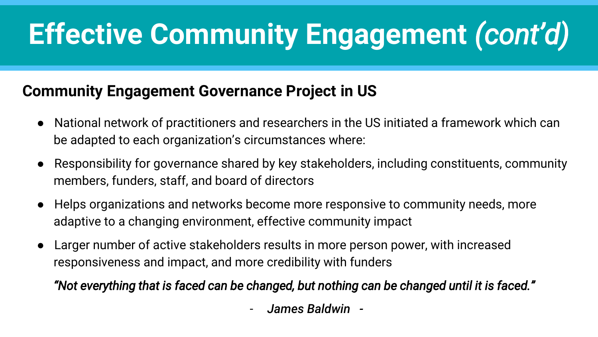# **Effective Community Engagement** *(cont'd)*

#### **Community Engagement Governance Project in US**

- National network of practitioners and researchers in the US initiated a framework which can be adapted to each organization's circumstances where:
- Responsibility for governance shared by key stakeholders, including constituents, community members, funders, staff, and board of directors
- Helps organizations and networks become more responsive to community needs, more adaptive to a changing environment, effective community impact
- Larger number of active stakeholders results in more person power, with increased responsiveness and impact, and more credibility with funders

*"Not everything that is faced can be changed, but nothing can be changed until it is faced."*

- *James Baldwin -*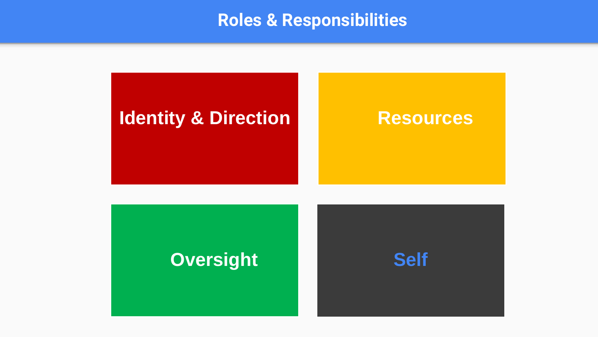#### **Roles & Responsibilities**

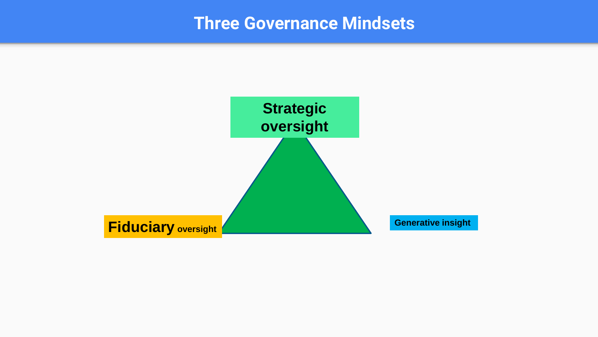#### **Three Governance Mindsets**

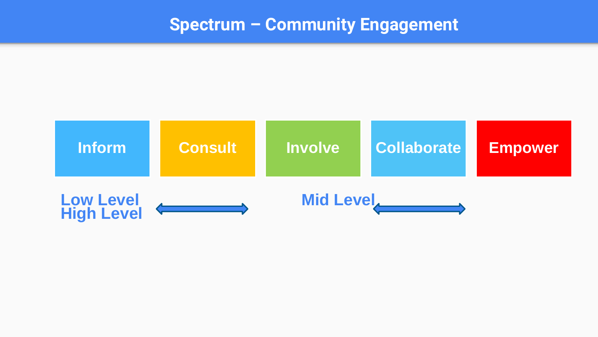#### **Spectrum – Community Engagement**